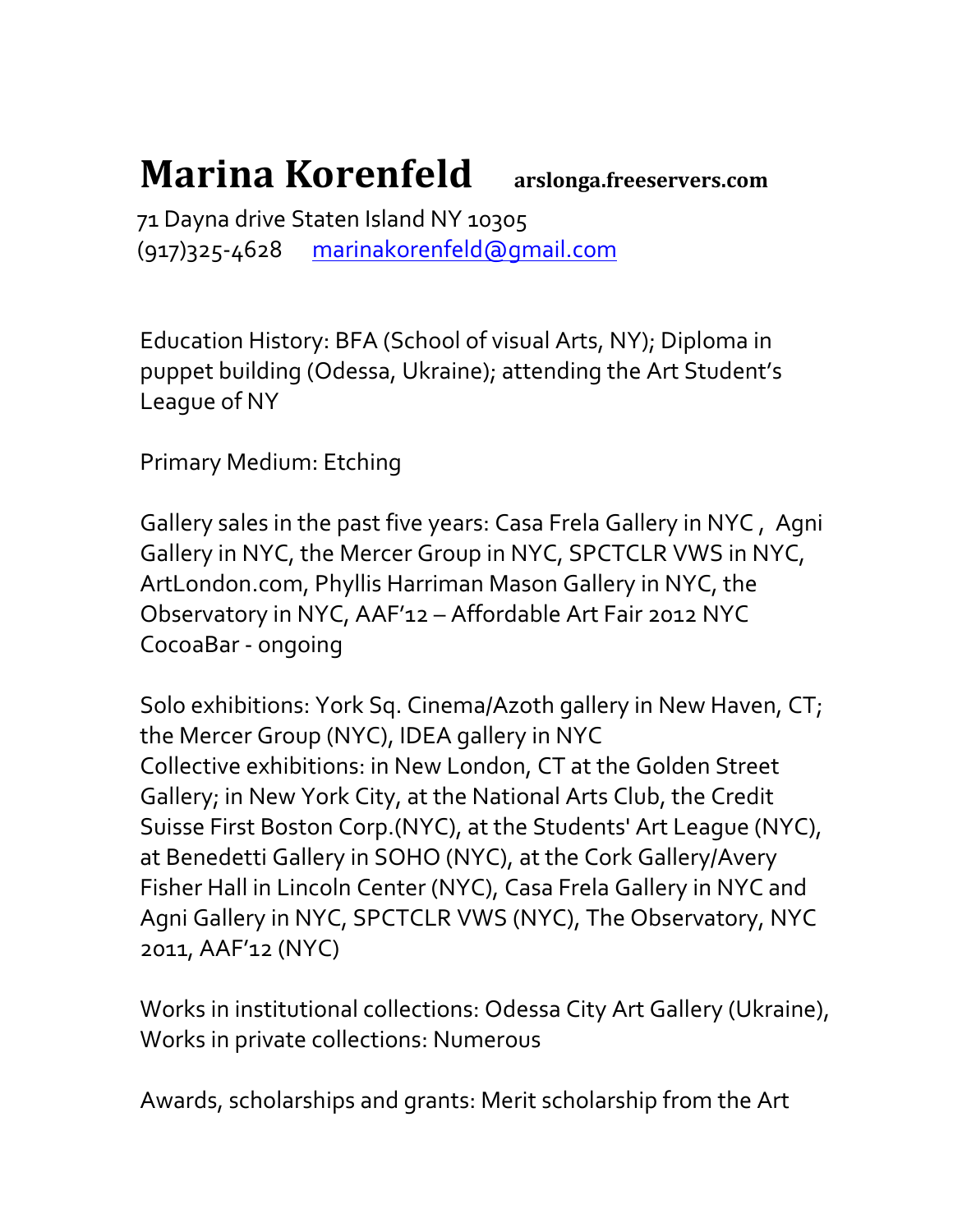## Marina Korenfeld arslonga.freeservers.com

 71 Dayna drive Staten Island NY 10305 (917)325-4628 marinakorenfeld@gmail.com

Education History: BFA (School of visual Arts, NY); Diploma in puppet building (Odessa, Ukraine); attending the Art Student's League of NY

Primary Medium: Etching

Gallery sales in the past five years: Casa Frela Gallery in NYC , Agni Gallery in NYC, the Mercer Group in NYC, SPCTCLR VWS in NYC, ArtLondon.com, Phyllis Harriman Mason Gallery in NYC, the Observatory in NYC, AAF'12 – Affordable Art Fair 2012 NYC CocoaBar - ongoing

Solo exhibitions: York Sq. Cinema/Azoth gallery in New Haven, CT; the Mercer Group (NYC), IDEA gallery in NYC Collective exhibitions: in New London, CT at the Golden Street Gallery; in New York City, at the National Arts Club, the Credit Suisse First Boston Corp.(NYC), at the Students' Art League (NYC), at Benedetti Gallery in SOHO (NYC), at the Cork Gallery/Avery Fisher Hall in Lincoln Center (NYC), Casa Frela Gallery in NYC and Agni Gallery in NYC, SPCTCLR VWS (NYC), The Observatory, NYC 2011, AAF'12 (NYC)

Works in institutional collections: Odessa City Art Gallery (Ukraine), Works in private collections: Numerous

Awards, scholarships and grants: Merit scholarship from the Art